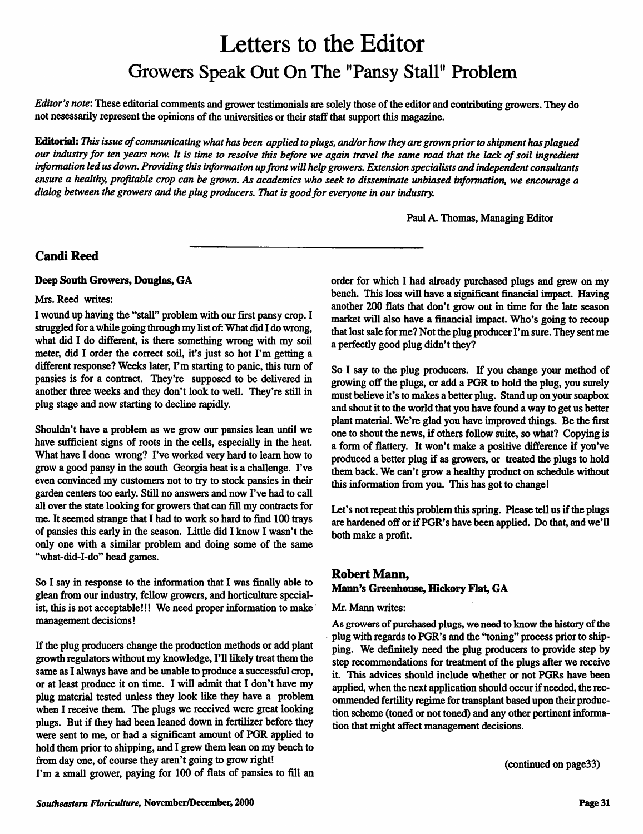# Letters to the Editor *Growers Speak Out On The "Pansy Stall" Problem*

**Editor's note:** These editorial comments andgrower testimonials aresolely those oftheeditorandcontributing growers. They do not nesessarily represent the opinions of the universities or their staff that support this magazine.

*Editorial:* **This issue ofcommunicating whathasbeen applied toplugs, and/or how they aregrownpriortoshipmenthasplagued our industry for tenyears now. It is time to resolve thisbefore we again travel thesame roadthat the lackofsoil ingredient information ledusdown. Providing this information upfrontwillhelp growers. Extension specialists andindependent consultants** ensure a healthy, profitable crop can be grown. As academics who seek to disseminate unbiased information, we encourage a **dialogbetween thegrowers andtheplugproducers. That is goodfor everyone in ourindustry.**

Paul A. Thomas, Managing Editor

## *CandiReed*

#### *Deep South Growers, Douglas, GA*

#### Mrs. Reed writes:

I wound up having the "stall" problem with our first pansy crop. I struggled for a while going through my list of: What did I do wrong, what did I do different, is there something wrong with my soil meter, did I order the correct soil, it's just so hot I'm getting a different response? Weeks later, I'm starting to panic, this turn of pansies is for a contract. They're supposed to be delivered in another three weeks and they don't look to well. They're still in plug stage and now starting to decline rapidly.

Shouldn't have a problem as we grow our pansies lean until we have sufficient signs of roots in the cells, especially in the heat. What have I done wrong? I've worked very hard to learn how to grow a good pansy in the south Georgia heat is a challenge. I've even convinced my customers not to try to stock pansies in their garden centers too early. Still no answers and now I've had to call all over the state looking for growers that can fill my contracts for me. It seemed strange that I had to work so hard to find 100 trays of pansies this early in the season. Little did I know I wasn't the only one with a similar problem and doing some of the same "what-did-I-do" head games.

So I say in response to the information that I was finally able to glean from our industry, fellow growers, and horticulture special ist, this is not acceptable!!! We need proper information to make management decisions!

If the plug producers change the production methods or add plant growth regulators without my knowledge, I'll likely treat them the same as I always have and be unable to produce a successful crop, or at least produce it on time. I will admit that I don't have my plug material tested unless they look like they have a problem when I receive them. The plugs we received were great looking plugs. But if they had been leaned down in fertilizer before they were sent to me, or had a significant amount of PGR applied to hold them prior to shipping, and I grew them lean on my bench to from day one, of course they aren't going to grow right!

I'm a small grower, paying for 100 of flats of pansies to fill an

order for which I had already purchased plugs and grew on my bench. This loss will have a significant financial impact. Having another 200 flats that don't grow out in time for the late season market will also have a financial impact. Who's going to recoup that lost sale for me? Not the plug producer I'msure. They sent me a perfectly good plug didn't they?

So I say to the plug producers. If you change your method of growing off the plugs, or add a PGR to hold the plug, you surely must believe it's to makes a better plug. Stand up on your soapbox and shout it to the world that you have found a way to get us better plant material. We're glad you have improved things. Be the first one to shout the news, if others follow suite, so what? Copying is a form of flattery. It won't make a positive difference if you've produced a better plug if as growers, or treated the plugs to hold them back. We can't grow a healthy product on schedule without this information from you. This has got to change!

Let's not repeat this problem this spring. Please tell us if the plugs are hardened off or if PGR's have been applied. Do that, and we'll both make a profit.

## *Robert Mann,*

#### *Mann's Greenhouse, Hickory Flat, GA*

Mr. Mann writes:

As growers of purchased plugs, we need to know the history of the plug with regards to PGR's and the 'toning" process prior to ship ping. We definitely need the plug producers to provide step by step recommendations for treatment of the plugs after we receive it. This advices should include whether or not PGRs have been applied, when the next application should occur if needed, the recommended fertility regime for transplant based upon their produc tion scheme (toned or not toned) and any other pertinent informa tion that might affect management decisions.

(continued on page33)